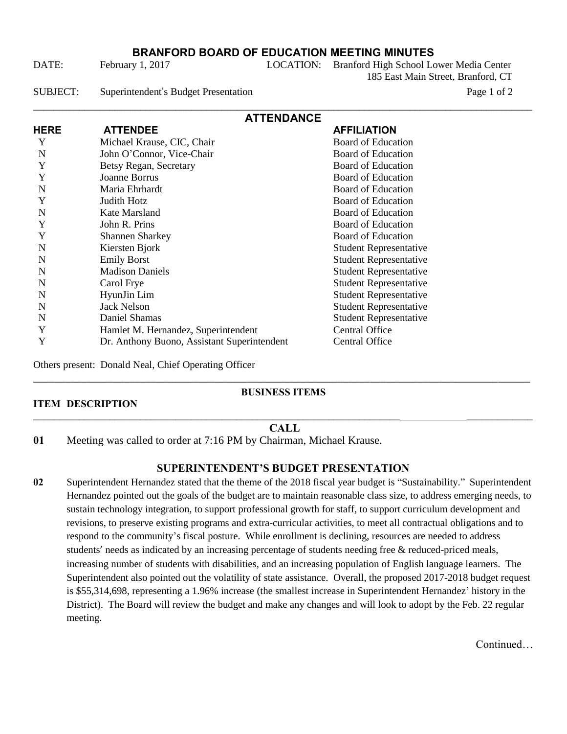# **BRANFORD BOARD OF EDUCATION MEETING MINUTES**

DATE: February 1, 2017 LOCATION: Branford High School Lower Media Center

185 East Main Street, Branford, CT

SUBJECT: Superintendent's Budget Presentation Page 1 of 2

| <b>ATTENDANCE</b> |                                             |                               |  |  |  |  |
|-------------------|---------------------------------------------|-------------------------------|--|--|--|--|
| <b>HERE</b>       | <b>ATTENDEE</b>                             | <b>AFFILIATION</b>            |  |  |  |  |
| Y                 | Michael Krause, CIC, Chair                  | <b>Board of Education</b>     |  |  |  |  |
| N                 | John O'Connor, Vice-Chair                   | <b>Board of Education</b>     |  |  |  |  |
| Y                 | Betsy Regan, Secretary                      | <b>Board of Education</b>     |  |  |  |  |
| Y                 | Joanne Borrus                               | Board of Education            |  |  |  |  |
| N                 | Maria Ehrhardt                              | <b>Board of Education</b>     |  |  |  |  |
| Y                 | Judith Hotz                                 | <b>Board of Education</b>     |  |  |  |  |
| N                 | Kate Marsland                               | Board of Education            |  |  |  |  |
| Y                 | John R. Prins                               | <b>Board of Education</b>     |  |  |  |  |
| Y                 | <b>Shannen Sharkey</b>                      | <b>Board of Education</b>     |  |  |  |  |
| N                 | Kiersten Bjork                              | <b>Student Representative</b> |  |  |  |  |
| N                 | <b>Emily Borst</b>                          | <b>Student Representative</b> |  |  |  |  |
| N                 | <b>Madison Daniels</b>                      | <b>Student Representative</b> |  |  |  |  |
| N                 | Carol Frye                                  | <b>Student Representative</b> |  |  |  |  |
| N                 | HyunJin Lim                                 | <b>Student Representative</b> |  |  |  |  |
| N                 | <b>Jack Nelson</b>                          | <b>Student Representative</b> |  |  |  |  |
| N                 | Daniel Shamas                               | <b>Student Representative</b> |  |  |  |  |
| Y                 | Hamlet M. Hernandez, Superintendent         | <b>Central Office</b>         |  |  |  |  |
| Y                 | Dr. Anthony Buono, Assistant Superintendent | Central Office                |  |  |  |  |

Others present: Donald Neal, Chief Operating Officer

## \_\_\_\_\_\_\_\_\_\_\_\_\_\_\_\_\_\_\_\_\_\_\_\_\_\_\_\_\_\_\_\_\_\_\_\_\_\_\_\_\_\_\_\_\_\_\_\_\_\_\_\_\_\_\_\_\_\_\_\_\_\_\_\_\_\_\_\_\_\_\_\_\_\_\_\_\_\_\_\_\_\_\_\_\_\_\_\_\_\_\_\_\_ **BUSINESS ITEMS**

#### **ITEM DESCRIPTION**

## \_\_\_\_\_\_\_\_\_\_\_\_\_\_\_\_\_\_\_\_\_\_\_\_\_\_\_\_\_\_\_\_\_\_\_\_\_\_\_\_\_\_\_\_\_\_\_\_\_\_\_\_\_\_\_\_\_\_\_\_\_\_\_\_\_\_\_\_\_\_\_\_ \_\_\_\_\_\_\_\_\_\_\_\_\_ **CALL**

**01** Meeting was called to order at 7:16 PM by Chairman, Michael Krause.

#### **SUPERINTENDENT'S BUDGET PRESENTATION**

**02** Superintendent Hernandez stated that the theme of the 2018 fiscal year budget is "Sustainability." Superintendent Hernandez pointed out the goals of the budget are to maintain reasonable class size, to address emerging needs, to sustain technology integration, to support professional growth for staff, to support curriculum development and revisions, to preserve existing programs and extra-curricular activities, to meet all contractual obligations and to respond to the community's fiscal posture. While enrollment is declining, resources are needed to address students' needs as indicated by an increasing percentage of students needing free & reduced-priced meals, increasing number of students with disabilities, and an increasing population of English language learners. The Superintendent also pointed out the volatility of state assistance. Overall, the proposed 2017-2018 budget request is \$55,314,698, representing a 1.96% increase (the smallest increase in Superintendent Hernandez' history in the District). The Board will review the budget and make any changes and will look to adopt by the Feb. 22 regular meeting.

**Continued**